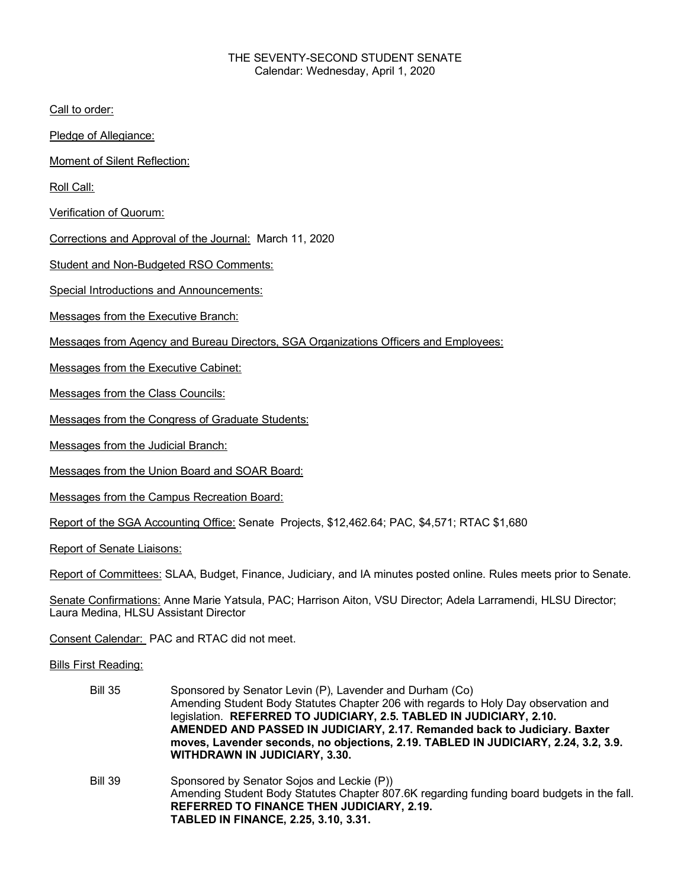## THE SEVENTY-SECOND STUDENT SENATE Calendar: Wednesday, April 1, 2020

Call to order:

Pledge of Allegiance:

Moment of Silent Reflection:

Roll Call:

Verification of Quorum:

Corrections and Approval of the Journal: March 11, 2020

Student and Non-Budgeted RSO Comments:

Special Introductions and Announcements:

Messages from the Executive Branch:

Messages from Agency and Bureau Directors, SGA Organizations Officers and Employees:

Messages from the Executive Cabinet:

Messages from the Class Councils:

Messages from the Congress of Graduate Students:

Messages from the Judicial Branch:

Messages from the Union Board and SOAR Board:

Messages from the Campus Recreation Board:

Report of the SGA Accounting Office: Senate Projects, \$12,462.64; PAC, \$4,571; RTAC \$1,680

Report of Senate Liaisons:

Report of Committees: SLAA, Budget, Finance, Judiciary, and IA minutes posted online. Rules meets prior to Senate.

Senate Confirmations: Anne Marie Yatsula, PAC; Harrison Aiton, VSU Director; Adela Larramendi, HLSU Director; Laura Medina, HLSU Assistant Director

Consent Calendar: PAC and RTAC did not meet.

Bills First Reading:

Bill 35 Sponsored by Senator Levin (P), Lavender and Durham (Co) Amending Student Body Statutes Chapter 206 with regards to Holy Day observation and legislation. **REFERRED TO JUDICIARY, 2.5. TABLED IN JUDICIARY, 2.10. AMENDED AND PASSED IN JUDICIARY, 2.17. Remanded back to Judiciary. Baxter moves, Lavender seconds, no objections, 2.19. TABLED IN JUDICIARY, 2.24, 3.2, 3.9. WITHDRAWN IN JUDICIARY, 3.30.** Bill 39 Sponsored by Senator Sojos and Leckie (P)) Amending Student Body Statutes Chapter 807.6K regarding funding board budgets in the fall.

**REFERRED TO FINANCE THEN JUDICIARY, 2.19. TABLED IN FINANCE, 2.25, 3.10, 3.31.**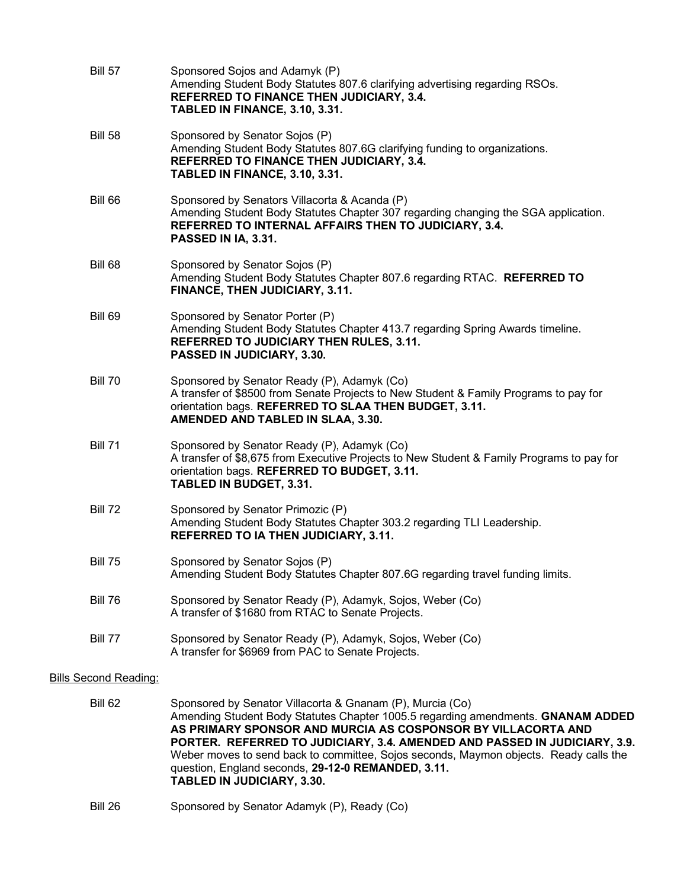| <b>Bill 57</b>               | Sponsored Sojos and Adamyk (P)<br>Amending Student Body Statutes 807.6 clarifying advertising regarding RSOs.<br>REFERRED TO FINANCE THEN JUDICIARY, 3.4.<br>TABLED IN FINANCE, 3.10, 3.31.                                        |
|------------------------------|------------------------------------------------------------------------------------------------------------------------------------------------------------------------------------------------------------------------------------|
| <b>Bill 58</b>               | Sponsored by Senator Sojos (P)<br>Amending Student Body Statutes 807.6G clarifying funding to organizations.<br>REFERRED TO FINANCE THEN JUDICIARY, 3.4.<br>TABLED IN FINANCE, 3.10, 3.31.                                         |
| Bill 66                      | Sponsored by Senators Villacorta & Acanda (P)<br>Amending Student Body Statutes Chapter 307 regarding changing the SGA application.<br>REFERRED TO INTERNAL AFFAIRS THEN TO JUDICIARY, 3.4.<br>PASSED IN IA, 3.31.                 |
| <b>Bill 68</b>               | Sponsored by Senator Sojos (P)<br>Amending Student Body Statutes Chapter 807.6 regarding RTAC. REFERRED TO<br>FINANCE, THEN JUDICIARY, 3.11.                                                                                       |
| <b>Bill 69</b>               | Sponsored by Senator Porter (P)<br>Amending Student Body Statutes Chapter 413.7 regarding Spring Awards timeline.<br>REFERRED TO JUDICIARY THEN RULES, 3.11.<br>PASSED IN JUDICIARY, 3.30.                                         |
| <b>Bill 70</b>               | Sponsored by Senator Ready (P), Adamyk (Co)<br>A transfer of \$8500 from Senate Projects to New Student & Family Programs to pay for<br>orientation bags. REFERRED TO SLAA THEN BUDGET, 3.11.<br>AMENDED AND TABLED IN SLAA, 3.30. |
| <b>Bill 71</b>               | Sponsored by Senator Ready (P), Adamyk (Co)<br>A transfer of \$8,675 from Executive Projects to New Student & Family Programs to pay for<br>orientation bags. REFERRED TO BUDGET, 3.11.<br>TABLED IN BUDGET, 3.31.                 |
| <b>Bill 72</b>               | Sponsored by Senator Primozic (P)<br>Amending Student Body Statutes Chapter 303.2 regarding TLI Leadership.<br><b>REFERRED TO IA THEN JUDICIARY, 3.11.</b>                                                                         |
| <b>Bill 75</b>               | Sponsored by Senator Sojos (P)<br>Amending Student Body Statutes Chapter 807.6G regarding travel funding limits.                                                                                                                   |
| <b>Bill 76</b>               | Sponsored by Senator Ready (P), Adamyk, Sojos, Weber (Co)<br>A transfer of \$1680 from RTAC to Senate Projects.                                                                                                                    |
| Bill 77                      | Sponsored by Senator Ready (P), Adamyk, Sojos, Weber (Co)<br>A transfer for \$6969 from PAC to Senate Projects.                                                                                                                    |
| <b>Bills Second Reading:</b> |                                                                                                                                                                                                                                    |
| <b>Bill 62</b>               | Sponsored by Senator Villacorta & Gnanam (P), Murcia (Co)                                                                                                                                                                          |

Amending Student Body Statutes Chapter 1005.5 regarding amendments. **GNANAM ADDED AS PRIMARY SPONSOR AND MURCIA AS COSPONSOR BY VILLACORTA AND PORTER. REFERRED TO JUDICIARY, 3.4. AMENDED AND PASSED IN JUDICIARY, 3.9.**  Weber moves to send back to committee, Sojos seconds, Maymon objects. Ready calls the question, England seconds, **29-12-0 REMANDED, 3.11. TABLED IN JUDICIARY, 3.30.**

Bill 26 Sponsored by Senator Adamyk (P), Ready (Co)